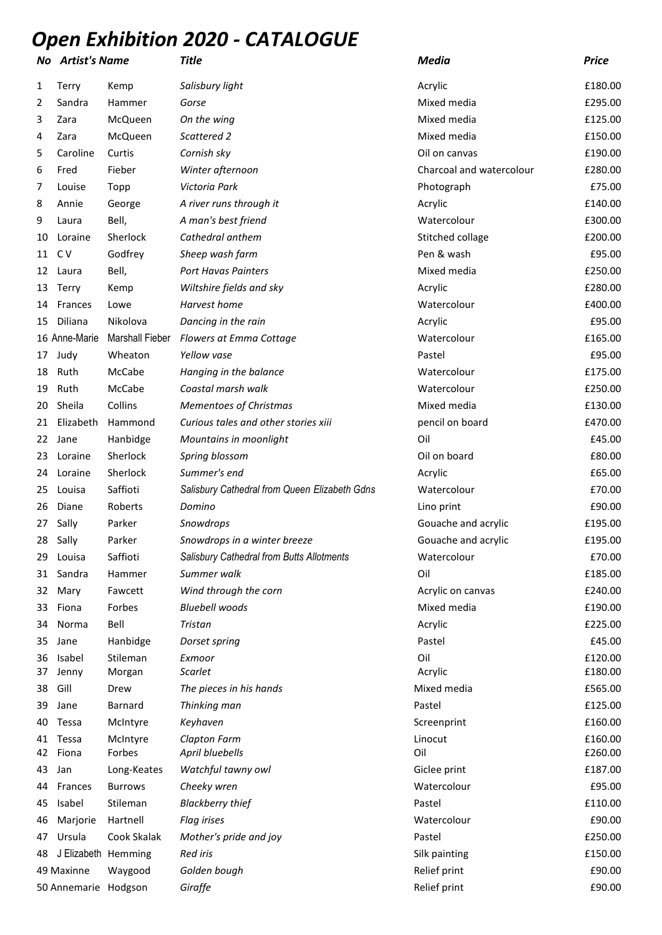## *Open Exhibition 2020 - CATALOGUE*

| No.        | Artist's Name        |                        | <b>Title</b>                                  | <b>Media</b>             | <b>Price</b>       |
|------------|----------------------|------------------------|-----------------------------------------------|--------------------------|--------------------|
| 1          | <b>Terry</b>         | Kemp                   | Salisbury light                               | Acrylic                  | £180.00            |
| 2          | Sandra               | Hammer                 | Gorse                                         | Mixed media              | £295.00            |
| 3          | Zara                 | McQueen                | On the wing                                   | Mixed media              | £125.00            |
| 4          | Zara                 | McQueen                | Scattered 2                                   | Mixed media              | £150.00            |
| 5          | Caroline             | Curtis                 | Cornish sky                                   | Oil on canvas            | £190.00            |
| 6          | Fred                 | Fieber                 | Winter afternoon                              | Charcoal and watercolour | £280.00            |
| 7          | Louise               | Topp                   | Victoria Park                                 | Photograph               | £75.00             |
| 8          | Annie                | George                 | A river runs through it                       | Acrylic                  | £140.00            |
| 9          | Laura                | Bell,                  | A man's best friend                           | Watercolour              | £300.00            |
| 10         | Loraine              | Sherlock               | Cathedral anthem                              | Stitched collage         | £200.00            |
| 11         | C V                  | Godfrey                | Sheep wash farm                               | Pen & wash               | £95.00             |
| 12         | Laura                | Bell,                  | <b>Port Havas Painters</b>                    | Mixed media              | £250.00            |
| 13         | Terry                | Kemp                   | Wiltshire fields and sky                      | Acrylic                  | £280.00            |
| 14         | Frances              | Lowe                   | Harvest home                                  | Watercolour              | £400.00            |
| 15         | Diliana              | Nikolova               | Dancing in the rain                           | Acrylic                  | £95.00             |
|            | 16 Anne-Marie        | <b>Marshall Fieber</b> | Flowers at Emma Cottage                       | Watercolour              | £165.00            |
| 17         | Judy                 | Wheaton                | Yellow vase                                   | Pastel                   | £95.00             |
| 18         | Ruth                 | McCabe                 | Hanging in the balance                        | Watercolour              | £175.00            |
| 19         | Ruth                 | McCabe                 | Coastal marsh walk                            | Watercolour              | £250.00            |
| 20         | Sheila               | Collins                | <b>Mementoes of Christmas</b>                 | Mixed media              | £130.00            |
| 21         | Elizabeth            | Hammond                | Curious tales and other stories xiii          |                          | £470.00            |
|            |                      |                        |                                               | pencil on board<br>Oil   |                    |
| 22         | Jane                 | Hanbidge               | Mountains in moonlight                        |                          | £45.00             |
| 23         | Loraine              | Sherlock               | Spring blossom                                | Oil on board             | £80.00             |
| 24         | Loraine              | Sherlock               | Summer's end                                  | Acrylic                  | £65.00             |
| 25         | Louisa               | Saffioti               | Salisbury Cathedral from Queen Elizabeth Gdns | Watercolour              | £70.00             |
| 26         | Diane                | Roberts                | Domino                                        | Lino print               | £90.00             |
| 27         | Sally                | Parker                 | Snowdrops                                     | Gouache and acrylic      | £195.00            |
| 28         | Sally                | Parker                 | Snowdrops in a winter breeze                  | Gouache and acrylic      | £195.00            |
| 29         | Louisa               | Saffioti               | Salisbury Cathedral from Butts Allotments     | Watercolour              | £70.00             |
| 31         | Sandra               | Hammer                 | Summer walk                                   | Oil                      | £185.00            |
| 32         | Mary                 | Fawcett                | Wind through the corn                         | Acrylic on canvas        | £240.00            |
| 33         | Fiona                | Forbes                 | <b>Bluebell woods</b>                         | Mixed media              | £190.00            |
| 34         | Norma                | Bell                   | Tristan                                       | Acrylic                  | £225.00            |
| 35         | Jane                 | Hanbidge               | Dorset spring                                 | Pastel                   | £45.00             |
| 36         | Isabel               | Stileman               | Exmoor                                        | Oil                      | £120.00            |
| 37         | Jenny                | Morgan                 | Scarlet                                       | Acrylic                  | £180.00            |
| 38         | Gill                 | Drew                   | The pieces in his hands                       | Mixed media              | £565.00            |
| 39         | Jane                 | Barnard                | Thinking man                                  | Pastel                   | £125.00            |
| 40         | Tessa                | McIntyre               | Keyhaven                                      | Screenprint              | £160.00            |
| 41         | Tessa<br>Fiona       | McIntyre<br>Forbes     | Clapton Farm<br>April bluebells               | Linocut<br>Oil           | £160.00<br>£260.00 |
| 42         |                      |                        |                                               |                          | £187.00            |
| 43         | Jan                  | Long-Keates            | Watchful tawny owl                            | Giclee print             |                    |
| 44         | Frances              | <b>Burrows</b>         | Cheeky wren                                   | Watercolour              | £95.00             |
| 45         | Isabel               | Stileman               | <b>Blackberry thief</b>                       | Pastel                   | £110.00            |
| 46         | Marjorie             | Hartnell               | Flag irises                                   | Watercolour              | £90.00             |
| 47         | Ursula               | Cook Skalak            | Mother's pride and joy                        | Pastel                   | £250.00            |
| 48         | J Elizabeth Hemming  |                        | Red iris                                      | Silk painting            | £150.00            |
| 49 Maxinne |                      | Waygood                | Golden bough                                  | Relief print             | £90.00             |
|            | 50 Annemarie Hodgson |                        | Giraffe                                       | Relief print             | £90.00             |